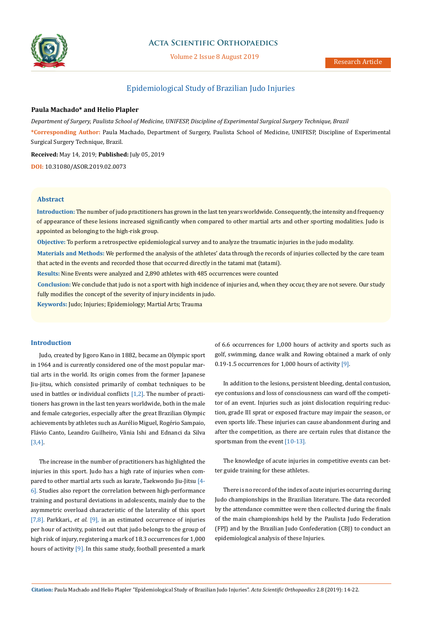

# **Acta Scientific Orthopaedics**

Volume 2 Issue 8 August 2019

# Epidemiological Study of Brazilian Judo Injuries

## **Paula Machado\* and Helio Plapler**

*Department of Surgery, Paulista School of Medicine, UNIFESP, Discipline of Experimental Surgical Surgery Technique, Brazil*

**\*Corresponding Author:** Paula Machado, Department of Surgery, Paulista School of Medicine, UNIFESP, Discipline of Experimental Surgical Surgery Technique, Brazil.

**Received:** May 14, 2019; **Published:** July 05, 2019

**DOI:** 10.31080/ASOR.2019.02.0073

#### **Abstract**

**Introduction:** The number of judo practitioners has grown in the last ten years worldwide. Consequently, the intensity and frequency of appearance of these lesions increased significantly when compared to other martial arts and other sporting modalities. Judo is appointed as belonging to the high-risk group.

**Objective:** To perform a retrospective epidemiological survey and to analyze the traumatic injuries in the judo modality.

**Materials and Methods:** We performed the analysis of the athletes' data through the records of injuries collected by the care team that acted in the events and recorded those that occurred directly in the tatami mat (tatami).

**Results:** Nine Events were analyzed and 2,890 athletes with 485 occurrences were counted

**Conclusion:** We conclude that judo is not a sport with high incidence of injuries and, when they occur, they are not severe. Our study fully modifies the concept of the severity of injury incidents in judo.

**Keywords:** Judo; Injuries; Epidemiology; Martial Arts; Trauma

#### **Introduction**

Judo, created by Jigoro Kano in 1882, became an Olympic sport in 1964 and is currently considered one of the most popular martial arts in the world. Its origin comes from the former Japanese Jiu-jitsu, which consisted primarily of combat techniques to be used in battles or individual conflicts [1,2]. The number of practitioners has grown in the last ten years worldwide, both in the male and female categories, especially after the great Brazilian Olympic achievements by athletes such as Aurélio Miguel, Rogério Sampaio, Flávio Canto, Leandro Guilheiro, Vânia Ishi and Ednanci da Silva [3,4].

The increase in the number of practitioners has highlighted the injuries in this sport. Judo has a high rate of injuries when compared to other martial arts such as karate, Taekwondo Jiu-Jitsu [4-6]. Studies also report the correlation between high-performance training and postural deviations in adolescents, mainly due to the asymmetric overload characteristic of the laterality of this sport [7,8]. Parkkari., *et al*. [9], in an estimated occurrence of injuries per hour of activity, pointed out that judo belongs to the group of high risk of injury, registering a mark of 18.3 occurrences for 1,000 hours of activity [9]. In this same study, football presented a mark of 6.6 occurrences for 1,000 hours of activity and sports such as golf, swimming, dance walk and Rowing obtained a mark of only 0.19-1.5 occurrences for 1,000 hours of activity [9].

In addition to the lesions, persistent bleeding, dental contusion, eye contusions and loss of consciousness can ward off the competitor of an event. Injuries such as joint dislocation requiring reduction, grade III sprat or exposed fracture may impair the season, or even sports life. These injuries can cause abandonment during and after the competition, as there are certain rules that distance the sportsman from the event [10-13].

The knowledge of acute injuries in competitive events can better guide training for these athletes.

There is no record of the index of acute injuries occurring during Judo championships in the Brazilian literature. The data recorded by the attendance committee were then collected during the finals of the main championships held by the Paulista Judo Federation (FPJ) and by the Brazilian Judo Confederation (CBJ) to conduct an epidemiological analysis of these Injuries.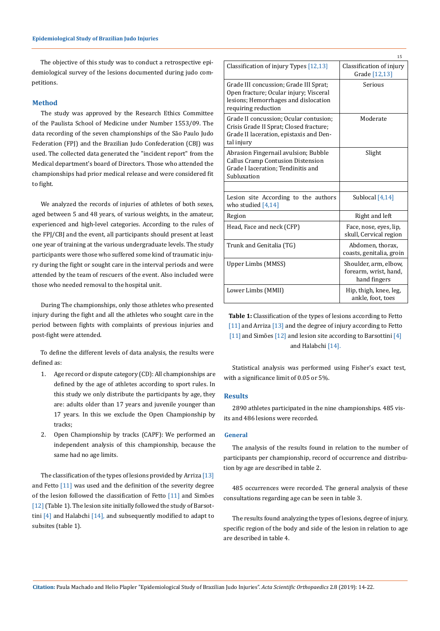The objective of this study was to conduct a retrospective epidemiological survey of the lesions documented during judo competitions.

#### **Method**

The study was approved by the Research Ethics Committee of the Paulista School of Medicine under Number 1553/09. The data recording of the seven championships of the São Paulo Judo Federation (FPJ) and the Brazilian Judo Confederation (CBJ) was used. The collected data generated the "incident report" from the Medical department's board of Directors. Those who attended the championships had prior medical release and were considered fit to fight.

We analyzed the records of injuries of athletes of both sexes, aged between 5 and 48 years, of various weights, in the amateur, experienced and high-level categories. According to the rules of the FPJ/CBJ and the event, all participants should present at least one year of training at the various undergraduate levels. The study participants were those who suffered some kind of traumatic injury during the fight or sought care in the interval periods and were attended by the team of rescuers of the event. Also included were those who needed removal to the hospital unit.

During The championships, only those athletes who presented injury during the fight and all the athletes who sought care in the period between fights with complaints of previous injuries and post-fight were attended.

To define the different levels of data analysis, the results were defined as:

- 1. Age record or dispute category (CD): All championships are defined by the age of athletes according to sport rules. In this study we only distribute the participants by age, they are: adults older than 17 years and juvenile younger than 17 years. In this we exclude the Open Championship by tracks;
- 2. Open Championship by tracks (CAPF): We performed an independent analysis of this championship, because the same had no age limits.

The classification of the types of lesions provided by Arriza [13] and Fetto [11] was used and the definition of the severity degree of the lesion followed the classification of Fetto [11] and Simões [12] (Table 1). The lesion site initially followed the study of Barsottini [4] and Halabchi [14], and subsequently modified to adapt to subsites (table 1).

|                                                                                                                                                 | 15                                                             |
|-------------------------------------------------------------------------------------------------------------------------------------------------|----------------------------------------------------------------|
| Classification of injury Types [12,13]                                                                                                          | Classification of injury<br>Grade [12,13]                      |
| Grade III concussion; Grade III Sprat;<br>Open fracture; Ocular injury; Visceral<br>lesions; Hemorrhages and dislocation<br>requiring reduction | Serious                                                        |
| Grade II concussion; Ocular contusion;<br>Crisis Grade II Sprat; Closed fracture;<br>Grade II laceration, epistaxis and Den-<br>tal injury      | Moderate                                                       |
| Abrasion Fingernail avulsion; Bubble<br><b>Callus Cramp Contusion Distension</b><br>Grade I laceration: Tendinitis and<br>Subluxation           | Slight                                                         |
|                                                                                                                                                 |                                                                |
| Lesion site According to the authors<br>who studied $[4,14]$                                                                                    | Sublocal $[4,14]$                                              |
| Region                                                                                                                                          | Right and left                                                 |
| Head, Face and neck (CFP)                                                                                                                       | Face, nose, eyes, lip,<br>skull, Cervical region               |
| Trunk and Genitalia (TG)                                                                                                                        | Abdomen, thorax,<br>coasts, genitalia, groin                   |
| Upper Limbs (MMSS)                                                                                                                              | Shoulder, arm, elbow,<br>forearm, wrist, hand,<br>hand fingers |
| Lower Limbs (MMII)                                                                                                                              | Hip, thigh, knee, leg,<br>ankle, foot, toes                    |

**Table 1:** Classification of the types of lesions according to Fetto [11] and Arriza [13] and the degree of injury according to Fetto [11] and Simões [12] and lesion site according to Barsottini [4] and Halabchi [14].

Statistical analysis was performed using Fisher's exact test, with a significance limit of 0.05 or 5%.

#### **Results**

2890 athletes participated in the nine championships. 485 visits and 486 lesions were recorded.

#### **General**

The analysis of the results found in relation to the number of participants per championship, record of occurrence and distribution by age are described in table 2.

485 occurrences were recorded. The general analysis of these consultations regarding age can be seen in table 3.

The results found analyzing the types of lesions, degree of injury, specific region of the body and side of the lesion in relation to age are described in table 4.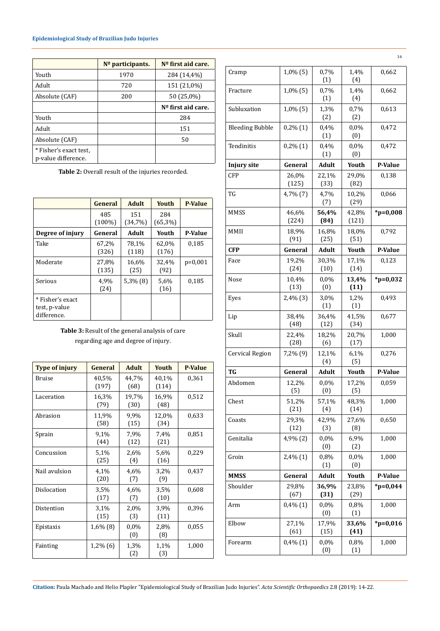### **Epidemiological Study of Brazilian Judo Injuries**

|                                               | Nº participants. | Nº first aid care.   |
|-----------------------------------------------|------------------|----------------------|
| Youth                                         | 1970             | 284 (14,4%)          |
| Adult                                         | 720              | 151 (21,0%)          |
| Absolute (CAF)                                | 200              | 50 (25,0%)           |
|                                               |                  | $No$ first aid care. |
| Youth                                         |                  | 284                  |
| Adult                                         |                  | 151                  |
| Absolute (CAF)                                |                  | 50                   |
| * Fisher's exact test,<br>p-value difference. |                  |                      |

**Table 2:** Overall result of the injuries recorded.

|                                                  | General          | <b>Adult</b>   | Youth          | <b>P-Value</b> |
|--------------------------------------------------|------------------|----------------|----------------|----------------|
|                                                  | 485<br>$(100\%)$ | 151<br>(34,7%) | 284<br>(65,3%) |                |
| Degree of injury                                 | General          | Adult          | Youth          | <b>P-Value</b> |
| Take                                             | 67,2%<br>(326)   | 78,1%<br>(118) | 62,0%<br>(176) | 0.185          |
| Moderate                                         | 27,8%<br>(135)   | 16,6%<br>(25)  | 32,4%<br>(92)  | $p=0,001$      |
| Serious                                          | 4,9%<br>(24)     | $5,3\%$ (8)    | 5,6%<br>(16)   | 0,185          |
| * Fisher's exact<br>test, p-value<br>difference. |                  |                |                |                |

**Table 3:** Result of the general analysis of care regarding age and degree of injury.

| <b>Type of injury</b> | General        | <b>Adult</b>  | <b>Youth</b>   | <b>P-Value</b> |
|-----------------------|----------------|---------------|----------------|----------------|
| Bruise                | 40,5%<br>(197) | 44,7%<br>(68) | 40,1%<br>(114) | 0,361          |
| Laceration            | 16,3%<br>(79)  | 19,7%<br>(30) | 16,9%<br>(48)  | 0,512          |
| Abrasion              | 11,9%<br>(58)  | 9,9%<br>(15)  | 12,0%<br>(34)  | 0,633          |
| Sprain                | 9,1%<br>(44)   | 7,9%<br>(12)  | 7,4%<br>(21)   | 0,851          |
| Concussion            | 5.1%<br>(25)   | 2,6%<br>(4)   | 5.6%<br>(16)   | 0,229          |
| Nail avulsion         | 4,1%<br>(20)   | 4,6%<br>(7)   | 3,2%<br>(9)    | 0,437          |
| Dislocation           | 3.5%<br>(17)   | 4,6%<br>(7)   | 3,5%<br>(10)   | 0,608          |
| Distention            | 3,1%<br>(15)   | 2,0%<br>(3)   | 3,9%<br>(11)   | 0,396          |
| Epistaxis             | $1,6\%$ (8)    | 0,0%<br>(0)   | 2,8%<br>(8)    | 0,055          |
| Fainting              | $1,2\%$ (6)    | 1,3%<br>(2)   | 1,1%<br>(3)    | 1,000          |

| Cramp                  | 1,0% (5)       | 0,7%<br>(1)   | 1,4%<br>(4)    | 0,662         |
|------------------------|----------------|---------------|----------------|---------------|
| Fracture               | 1,0% (5)       | 0,7%<br>(1)   | 1,4%<br>(4)    | 0,662         |
| Subluxation            | 1,0% (5)       | 1,3%<br>(2)   | 0,7%<br>(2)    | 0,613         |
| <b>Bleeding Bubble</b> | $0,2\%(1)$     | 0,4%<br>(1)   | 0,0%<br>(0)    | 0,472         |
| Tendinitis             | $0,2\%(1)$     | 0,4%<br>(1)   | 0,0%<br>(0)    | 0,472         |
| <b>Injury site</b>     | General        | <b>Adult</b>  | Youth          | P-Value       |
| CFP                    | 26,0%<br>(125) | 22,1%<br>(33) | 29,0%<br>(82)  | 0,138         |
| TG                     | 4,7% (7)       | 4,7%<br>(7)   | 10,2%<br>(29)  | 0,066         |
| <b>MMSS</b>            | 46,6%<br>(224) | 56,4%<br>(84) | 42,8%<br>(121) | $*_{p=0,008}$ |
| MMII                   | 18,9%<br>(91)  | 16,8%<br>(25) | 18,0%<br>(51)  | 0,792         |
| <b>CFP</b>             | General        | <b>Adult</b>  | Youth          | P-Value       |
| Face                   | 19,2%<br>(24)  | 30,3%<br>(10) | 17,1%<br>(14)  | 0,123         |
| Nose                   | 10,4%<br>(13)  | 0,0%<br>(0)   | 13,4%<br>(11)  | $*_{p=0,032}$ |
| Eyes                   | $2,4\%$ $(3)$  | 3,0%<br>(1)   | 1,2%<br>(1)    | 0,493         |
| Lip                    | 38,4%<br>(48)  | 36,4%<br>(12) | 41,5%<br>(34)  | 0,677         |
| Skull                  | 22,4%<br>(28)  | 18,2%<br>(6)  | 20,7%<br>(17)  | 1,000         |
| Cervical Region        | 7,2% (9)       | 12,1%<br>(4)  | 6,1%<br>(5)    | 0,276         |
| TG                     | General        | <b>Adult</b>  | Youth          | P-Value       |
| Abdomen                | 12,2%<br>(5)   | 0,0%<br>(0)   | 17,2%<br>(5)   | 0,059         |
| Chest                  | 51,2%<br>(21)  | 57,1%<br>(4)  | 48,3%<br>(14)  | 1,000         |
| Coasts                 | 29,3%<br>(12)  | 42,9%<br>(3)  | 27,6%<br>(8)   | 0,650         |
| Genitalia              | 4,9% (2)       | 0,0%<br>(0)   | 6,9%<br>(2)    | 1,000         |
| Groin                  | 2,4%(1)        | 0,8%<br>(1)   | 0,0%<br>(0)    | 1,000         |
| <b>MMSS</b>            | General        | Adult         | Youth          | P-Value       |
| Shoulder               | 29,8%<br>(67)  | 36,9%<br>(31) | 23,8%<br>(29)  | $*_{p=0,044}$ |
| Arm                    | $0,4\%(1)$     | 0,0%<br>(0)   | 0,8%<br>(1)    | 1,000         |
| Elbow                  | 27,1%<br>(61)  | 17,9%<br>(15) | 33,6%<br>(41)  | $*_{p=0,016}$ |
| Forearm                | $0,4\%$ $(1)$  | 0,0%<br>(0)   | 0,8%<br>(1)    | 1,000         |

**Citation:** Paula Machado and Helio Plapler "Epidemiological Study of Brazilian Judo Injuries". *Acta Scientific Orthopaedics* 2.8 (2019): 14-22.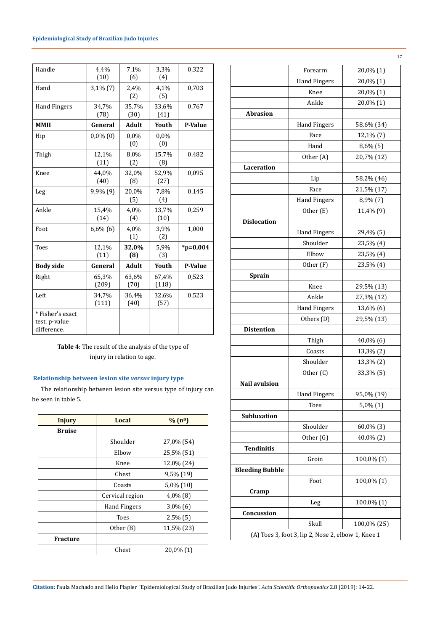| Handle                                           | 4,4%<br>(10)   | 7,1%<br>(6)   | 3,3%<br>(4)    | 0,322          |
|--------------------------------------------------|----------------|---------------|----------------|----------------|
| Hand                                             | $3,1\%$ $(7)$  | 2,4%<br>(2)   | 4,1%<br>(5)    | 0,703          |
| <b>Hand Fingers</b>                              | 34,7%<br>(78)  | 35,7%<br>(30) | 33,6%<br>(41)  | 0,767          |
| <b>MMII</b>                                      | General        | Adult         | Youth          | <b>P-Value</b> |
| Hip                                              | $0,0\%$ (0)    | 0,0%<br>(0)   | $0.0\%$<br>(0) |                |
| Thigh                                            | 12,1%<br>(11)  | 8,0%<br>(2)   | 15,7%<br>(8)   | 0,482          |
| Knee                                             | 44,0%<br>(40)  | 32,0%<br>(8)  | 52,9%<br>(27)  | 0,095          |
| Leg                                              | 9,9% (9)       | 20,0%<br>(5)  | 7,8%<br>(4)    | 0,145          |
| Ankle                                            | 15,4%<br>(14)  | 4,0%<br>(4)   | 13,7%<br>(10)  | 0,259          |
| Foot                                             | $6,6\%$ (6)    | 4,0%<br>(1)   | 3,9%<br>(2)    | 1,000          |
| <b>Toes</b>                                      | 12,1%<br>(11)  | 32,0%<br>(8)  | 5,9%<br>(3)    | $*_{p=0,004}$  |
| <b>Body side</b>                                 | General        | <b>Adult</b>  | Youth          | P-Value        |
| Right                                            | 65,3%<br>(209) | 63,6%<br>(70) | 67,4%<br>(118) | 0,523          |
| Left                                             | 34,7%<br>(111) | 36,4%<br>(40) | 32,6%<br>(57)  | 0,523          |
| * Fisher's exact<br>test, p-value<br>difference. |                |               |                |                |

**Table 4**: The result of the analysis of the type of injury in relation to age.

### **Relationship between lesion site** *versus* **injury type**

The relationship between lesion site versus type of injury can be seen in table 5.

| <b>Injury</b>   | Local<br>% (n <sup>o</sup> ) |              |
|-----------------|------------------------------|--------------|
| <b>Bruise</b>   |                              |              |
|                 | Shoulder                     | 27,0% (54)   |
|                 | Elbow                        | 25,5% (51)   |
|                 | Knee                         | 12,0% (24)   |
|                 | Chest                        | 9,5% (19)    |
|                 | Coasts                       | $5,0\%$ (10) |
|                 | Cervical region              | $4,0\%$ (8)  |
|                 | Hand Fingers                 | $3,0\%$ (6)  |
|                 | Toes                         | $2,5\%$ (5)  |
|                 | Other (B)                    | 11,5% (23)   |
| <b>Fracture</b> |                              |              |
|                 | Chest                        | $20,0\%$ (1) |

|                        | Forearm              | 20,0% (1)     |
|------------------------|----------------------|---------------|
|                        | <b>Hand Fingers</b>  | 20,0% (1)     |
|                        | Knee                 | 20,0% (1)     |
|                        | Ankle                | 20,0% (1)     |
| <b>Abrasion</b>        |                      |               |
|                        | <b>Hand Fingers</b>  | 58,6% (34)    |
|                        | Face                 | 12,1% (7)     |
|                        | Hand                 | $8,6\%$ $(5)$ |
|                        | Other (A)            | 20,7% (12)    |
| Laceration             |                      |               |
|                        | Lip                  | 58,2% (46)    |
|                        | Face                 | 21,5% (17)    |
|                        | <b>Hand Fingers</b>  | $8,9\%$ (7)   |
|                        | Other (E)            | 11,4% (9)     |
| <b>Dislocation</b>     |                      |               |
|                        | <b>Hand Fingers</b>  | 29,4% (5)     |
|                        | Shoulder             | 23,5% (4)     |
|                        | Elbow                | 23,5% (4)     |
|                        | Other (F)            | 23,5% (4)     |
| Sprain                 |                      |               |
|                        | Knee                 | 29,5% (13)    |
|                        | Ankle                | 27,3% (12)    |
|                        | <b>Hand Fingers</b>  | 13,6% (6)     |
|                        | Others (D)           | 29,5% (13)    |
| <b>Distention</b>      |                      |               |
|                        | Thigh                | 40,0% (6)     |
|                        | Coasts               | 13,3% (2)     |
|                        | Shoulder             |               |
|                        | Other <sub>(C)</sub> | 13,3% (2)     |
|                        |                      | 33,3% (5)     |
| <b>Nail avulsion</b>   |                      |               |
|                        | <b>Hand Fingers</b>  | 95,0% (19)    |
|                        | Toes                 | $5,0\%(1)$    |
| <b>Subluxation</b>     |                      |               |
|                        | Shoulder             | 60,0% (3)     |
|                        | Other (G)            | 40,0% (2)     |
| <b>Tendinitis</b>      |                      |               |
|                        | Groin                | 100,0% (1)    |
| <b>Bleeding Bubble</b> |                      |               |
|                        | Foot                 | 100,0% (1)    |
| Cramp                  |                      |               |
|                        | Leg                  | 100,0% (1)    |
| Concussion             |                      |               |
|                        | Skull                | 100,0% (25)   |

**Citation:** Paula Machado and Helio Plapler "Epidemiological Study of Brazilian Judo Injuries". *Acta Scientific Orthopaedics* 2.8 (2019): 14-22.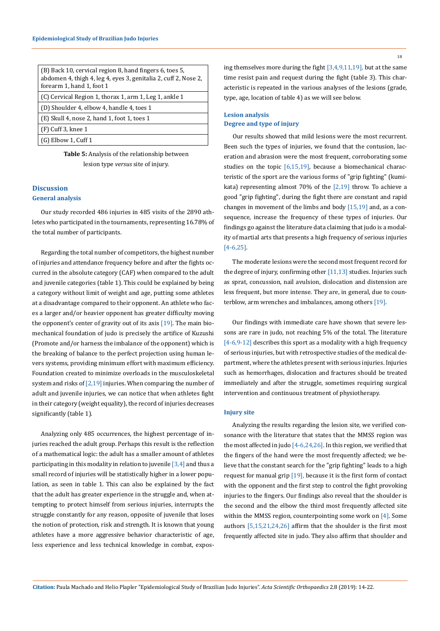| (B) Back 10, cervical region 8, hand fingers 6, toes 5,<br>abdomen 4, thigh 4, leg 4, eyes 3, genitalia 2, cuff 2, Nose 2,<br>forearm 1, hand 1, foot 1 |
|---------------------------------------------------------------------------------------------------------------------------------------------------------|
| (C) Cervical Region 1, thorax 1, arm 1, Leg 1, ankle 1                                                                                                  |
| (D) Shoulder 4, elbow 4, handle 4, toes 1                                                                                                               |
| $(E)$ Skull 4, nose 2, hand 1, foot 1, toes 1                                                                                                           |
| $(F)$ Cuff 3, knee 1                                                                                                                                    |
| $(G)$ Elbow 1, Cuff 1                                                                                                                                   |

**Table 5:** Analysis of the relationship between lesion type *versus* site of injury.

### **Discussion General analysis**

Our study recorded 486 injuries in 485 visits of the 2890 athletes who participated in the tournaments, representing 16.78% of the total number of participants.

Regarding the total number of competitors, the highest number of injuries and attendance frequency before and after the fights occurred in the absolute category (CAF) when compared to the adult and juvenile categories (table 1). This could be explained by being a category without limit of weight and age, putting some athletes at a disadvantage compared to their opponent. An athlete who faces a larger and/or heavier opponent has greater difficulty moving the opponent's center of gravity out of its axis [19]. The main biomechanical foundation of judo is precisely the artifice of Kuzushi (Promote and/or harness the imbalance of the opponent) which is the breaking of balance to the perfect projection using human levers systems, providing minimum effort with maximum efficiency. Foundation created to minimize overloads in the musculoskeletal system and risks of  $[2,19]$  injuries. When comparing the number of adult and juvenile injuries, we can notice that when athletes fight in their category (weight equality), the record of injuries decreases significantly (table 1).

Analyzing only 485 occurrences, the highest percentage of injuries reached the adult group. Perhaps this result is the reflection of a mathematical logic: the adult has a smaller amount of athletes participating in this modality in relation to juvenile  $\left[3,4\right]$  and thus a small record of injuries will be statistically higher in a lower population, as seen in table 1. This can also be explained by the fact that the adult has greater experience in the struggle and, when attempting to protect himself from serious injuries, interrupts the struggle constantly for any reason, opposite of juvenile that loses the notion of protection, risk and strength. It is known that young athletes have a more aggressive behavior characteristic of age, less experience and less technical knowledge in combat, exposing themselves more during the fight [3,4,9,11,19], but at the same time resist pain and request during the fight (table 3). This characteristic is repeated in the various analyses of the lesions (grade, type, age, location of table 4) as we will see below.

### **Lesion analysis Degree and type of injury**

Our results showed that mild lesions were the most recurrent. Been such the types of injuries, we found that the contusion, laceration and abrasion were the most frequent, corroborating some studies on the topic  $[6,15,19]$ , because a biomechanical characteristic of the sport are the various forms of "grip fighting" (kumikata) representing almost 70% of the  $[2,19]$  throw. To achieve a good "grip fighting", during the fight there are constant and rapid changes in movement of the limbs and body [15,19] and, as a consequence, increase the frequency of these types of injuries. Our findings go against the literature data claiming that judo is a modality of martial arts that presents a high frequency of serious injuries [4-6,25].

The moderate lesions were the second most frequent record for the degree of injury, confirming other  $[11,13]$  studies. Injuries such as sprat, concussion, nail avulsion, dislocation and distension are less frequent, but more intense. They are, in general, due to counterblow, arm wrenches and imbalances, among others [19].

Our findings with immediate care have shown that severe lessons are rare in judo, not reaching 5% of the total. The literature [4-6,9-12] describes this sport as a modality with a high frequency of serious injuries, but with retrospective studies of the medical department, where the athletes present with serious injuries. Injuries such as hemorrhages, dislocation and fractures should be treated immediately and after the struggle, sometimes requiring surgical intervention and continuous treatment of physiotherapy.

### **Injury site**

Analyzing the results regarding the lesion site, we verified consonance with the literature that states that the MMSS region was the most affected in judo [4-6,24,26]. In this region, we verified that the fingers of the hand were the most frequently affected; we believe that the constant search for the "grip fighting" leads to a high request for manual grip [19], because it is the first form of contact with the opponent and the first step to control the fight provoking injuries to the fingers. Our findings also reveal that the shoulder is the second and the elbow the third most frequently affected site within the MMSS region, counterpointing some work on [4]. Some authors [5,15,21,24,26] affirm that the shoulder is the first most frequently affected site in judo. They also affirm that shoulder and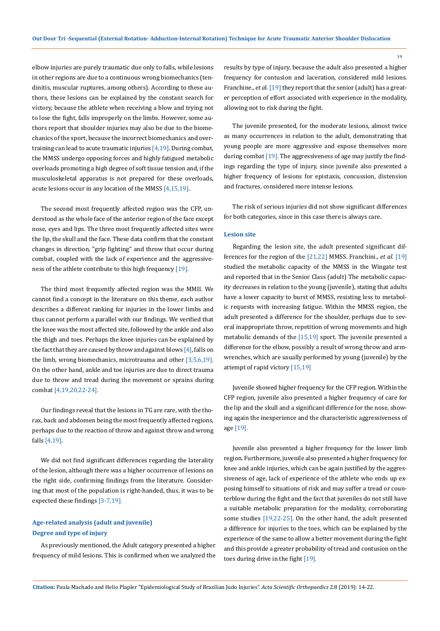elbow injuries are purely traumatic due only to falls, while lesions in other regions are due to a continuous wrong biomechanics (tendinitis, muscular ruptures, among others). According to these authors, these lesions can be explained by the constant search for victory, because the athlete when receiving a blow and trying not to lose the fight, falls improperly on the limbs. However, some authors report that shoulder injuries may also be due to the biomechanics of the sport, because the incorrect biomechanics and overtraining can lead to acute traumatic injuries  $[4,19]$ . During combat, the MMSS undergo opposing forces and highly fatigued metabolic overloads promoting a high degree of soft tissue tension and, if the musculoskeletal apparatus is not prepared for these overloads, acute lesions occur in any location of the MMSS [4,15,19].

The second most frequently affected region was the CFP, understood as the whole face of the anterior region of the face except nose, eyes and lips. The three most frequently affected sites were the lip, the skull and the face. These data confirm that the constant changes in direction, "grip fighting" and throw that occur during combat, coupled with the lack of experience and the aggressiveness of the athlete contribute to this high frequency [19].

The third most frequently affected region was the MMII. We cannot find a concept in the literature on this theme, each author describes a different ranking for injuries in the lower limbs and thus cannot perform a parallel with our findings. We verified that the knee was the most affected site, followed by the ankle and also the thigh and toes. Perhaps the knee injuries can be explained by the fact that they are caused by throw and against blows  $[4]$ , falls on the limb, wrong biomechanics, microtrauma and other [3,5,6,19]. On the other hand, ankle and toe injuries are due to direct trauma due to throw and tread during the movement or sprains during combat [4,19,20,22-24].

Our findings reveal that the lesions in TG are rare, with the thorax, back and abdomen being the most frequently affected regions, perhaps due to the reaction of throw and against throw and wrong falls [4,19].

We did not find significant differences regarding the laterality of the lesion, although there was a higher occurrence of lesions on the right side, confirming findings from the literature. Considering that most of the population is right-handed, thus, it was to be expected these findings [3-7,19].

## **Age-related analysis (adult and juvenile) Degree and type of injury**

As previously mentioned, the Adult category presented a higher frequency of mild lesions. This is confirmed when we analyzed the results by type of injury, because the adult also presented a higher frequency for contusion and laceration, considered mild lesions. Franchine., *et al.* [19] they report that the senior (adult) has a greater perception of effort associated with experience in the modality, allowing not to risk during the fight.

The juvenile presented, for the moderate lesions, almost twice as many occurrences in relation to the adult, demonstrating that young people are more aggressive and expose themselves more during combat [19]. The aggressiveness of age may justify the findings regarding the type of injury, since juvenile also presented a higher frequency of lesions for epistaxis, concussion, distension and fractures, considered more intense lesions.

The risk of serious injuries did not show significant differences for both categories, since in this case there is always care.

#### **Lesion site**

Regarding the lesion site, the adult presented significant differences for the region of the [21,22] MMSS. Franchini., *et al.* [19] studied the metabolic capacity of the MMSS in the Wingate test and reported that in the Senior Class (adult) The metabolic capacity decreases in relation to the young (juvenile), stating that adults have a lower capacity to burst of MMSS, resisting less to metabolic requests with increasing fatigue. Within the MMSS region, the adult presented a difference for the shoulder, perhaps due to several inappropriate throw, repetition of wrong movements and high metabolic demands of the [15,19] sport. The juvenile presented a difference for the elbow, possibly a result of wrong throw and armwrenches, which are usually performed by young (juvenile) by the attempt of rapid victory [15,19]

Juvenile showed higher frequency for the CFP region. Within the CFP region, juvenile also presented a higher frequency of care for the lip and the skull and a significant difference for the nose, showing again the inexperience and the characteristic aggressiveness of age [19].

Juvenile also presented a higher frequency for the lower limb region. Furthermore, juvenile also presented a higher frequency for knee and ankle injuries, which can be again justified by the aggressiveness of age, lack of experience of the athlete who ends up exposing himself to situations of risk and may suffer a tread or counterblow during the fight and the fact that juveniles do not still have a suitable metabolic preparation for the modality, corroborating some studies [19,22-25]. On the other hand, the adult presented a difference for injuries to the toes, which can be explained by the experience of the same to allow a better movement during the fight and this provide a greater probability of tread and contusion on the toes during drive in the fight [19].

19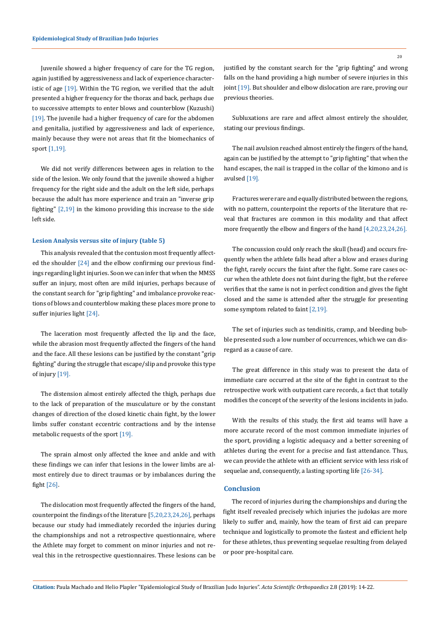Juvenile showed a higher frequency of care for the TG region, again justified by aggressiveness and lack of experience characteristic of age [19]. Within the TG region, we verified that the adult presented a higher frequency for the thorax and back, perhaps due to successive attempts to enter blows and counterblow (Kuzushi) [19]. The juvenile had a higher frequency of care for the abdomen and genitalia, justified by aggressiveness and lack of experience, mainly because they were not areas that fit the biomechanics of sport [1,19].

We did not verify differences between ages in relation to the side of the lesion. We only found that the juvenile showed a higher frequency for the right side and the adult on the left side, perhaps because the adult has more experience and train an "inverse grip fighting" [2,19] in the kimono providing this increase to the side left side.

#### **Lesion Analysis versus site of injury (table 5)**

This analysis revealed that the contusion most frequently affected the shoulder [24] and the elbow confirming our previous findings regarding light injuries. Soon we can infer that when the MMSS suffer an injury, most often are mild injuries, perhaps because of the constant search for "grip fighting" and imbalance provoke reactions of blows and counterblow making these places more prone to suffer injuries light [24].

The laceration most frequently affected the lip and the face, while the abrasion most frequently affected the fingers of the hand and the face. All these lesions can be justified by the constant "grip fighting" during the struggle that escape/slip and provoke this type of injury [19].

The distension almost entirely affected the thigh, perhaps due to the lack of preparation of the musculature or by the constant changes of direction of the closed kinetic chain fight, by the lower limbs suffer constant eccentric contractions and by the intense metabolic requests of the sport [19].

The sprain almost only affected the knee and ankle and with these findings we can infer that lesions in the lower limbs are almost entirely due to direct traumas or by imbalances during the fight [26].

The dislocation most frequently affected the fingers of the hand, counterpoint the findings of the literature [5,20,23,24,26], perhaps because our study had immediately recorded the injuries during the championships and not a retrospective questionnaire, where the Athlete may forget to comment on minor injuries and not reveal this in the retrospective questionnaires. These lesions can be

justified by the constant search for the "grip fighting" and wrong falls on the hand providing a high number of severe injuries in this joint <a>[19]</a>. But shoulder and elbow dislocation are rare, proving our previous theories.

Subluxations are rare and affect almost entirely the shoulder, stating our previous findings.

The nail avulsion reached almost entirely the fingers of the hand, again can be justified by the attempt to "grip fighting" that when the hand escapes, the nail is trapped in the collar of the kimono and is avulsed [19].

Fractures were rare and equally distributed between the regions, with no pattern, counterpoint the reports of the literature that reveal that fractures are common in this modality and that affect more frequently the elbow and fingers of the hand [4,20,23,24,26].

The concussion could only reach the skull (head) and occurs frequently when the athlete falls head after a blow and erases during the fight, rarely occurs the faint after the fight. Some rare cases occur when the athlete does not faint during the fight, but the referee verifies that the same is not in perfect condition and gives the fight closed and the same is attended after the struggle for presenting some symptom related to faint [2,19].

The set of injuries such as tendinitis, cramp, and bleeding bubble presented such a low number of occurrences, which we can disregard as a cause of care.

The great difference in this study was to present the data of immediate care occurred at the site of the fight in contrast to the retrospective work with outpatient care records, a fact that totally modifies the concept of the severity of the lesions incidents in judo.

With the results of this study, the first aid teams will have a more accurate record of the most common immediate injuries of the sport, providing a logistic adequacy and a better screening of athletes during the event for a precise and fast attendance. Thus, we can provide the athlete with an efficient service with less risk of sequelae and, consequently, a lasting sporting life [26-34].

### **Conclusion**

The record of injuries during the championships and during the fight itself revealed precisely which injuries the judokas are more likely to suffer and, mainly, how the team of first aid can prepare technique and logistically to promote the fastest and efficient help for these athletes, thus preventing sequelae resulting from delayed or poor pre-hospital care.

**Citation:** Paula Machado and Helio Plapler "Epidemiological Study of Brazilian Judo Injuries". *Acta Scientific Orthopaedics* 2.8 (2019): 14-22.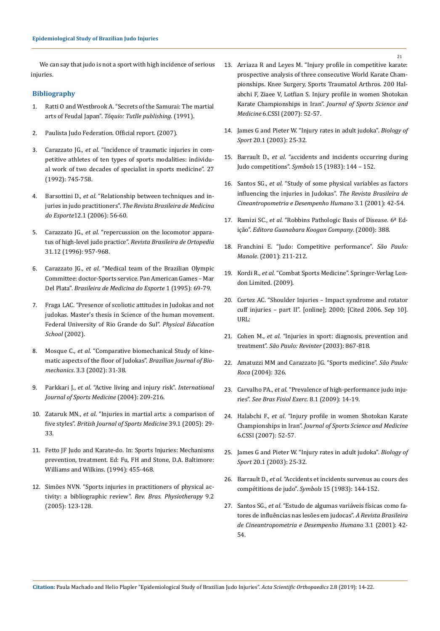We can say that judo is not a sport with high incidence of serious injuries.

### **Bibliography**

- 1. Ratti O and Westbrook A. "Secrets of the Samurai: The martial arts of Feudal Japan". *Tóquio: Tutlle publishing*. (1991).
- 2. Paulista Judo Federation. Official report. (2007).
- 3. Carazzato JG., *et al*. "Incidence of traumatic injuries in competitive athletes of ten types of sports modalities: individual work of two decades of specialist in sports medicine". 27 (1992): 745-758.
- 4. Barsottini D., *et al*[. "Relationship between techniques and in](https://pdfs.semanticscholar.org/6f7b/c912f38b56db87ead3c698c788d9dfdbf64e.pdf)juries in judo practitioners". *[The Revista Brasileira de Medicina](https://pdfs.semanticscholar.org/6f7b/c912f38b56db87ead3c698c788d9dfdbf64e.pdf)  do Esporte*[12.1 \(2006\): 56-60.](https://pdfs.semanticscholar.org/6f7b/c912f38b56db87ead3c698c788d9dfdbf64e.pdf)
- 5. Carazzato JG., *et al*. "repercussion on the locomotor apparatus of high-level judo practice". *Revista Brasileira de Ortopedia*  31.12 (1996): 957-968.
- 6. Carazzato JG., *et al*. "Medical team of the Brazilian Olympic Committee: doctor-Sports service. Pan American Games – Mar Del Plata". *Brasileira de Medicina do Esporte* 1 (1995): 69-79.
- 7. Fraga LAC. "Presence of scoliotic attitudes in Judokas and not judokas. Master's thesis in Science of the human movement. Federal University of Rio Grande do Sul". *Physical Education School* (2002).
- 8. Mosque C., *et al*. "Comparative biomechanical Study of kinematic aspects of the floor of Judokas". *Brazilian Journal of Biomechanics*. 3.3 (2002): 31-38.
- 9. Parkkari J., *et al*[. "Active living and injury risk".](https://www.ncbi.nlm.nih.gov/pubmed/15088246) *International [Journal of Sports Medicine](https://www.ncbi.nlm.nih.gov/pubmed/15088246)* (2004): 209-216.
- 10. Zataruk MN., *et al*[. "Injuries in martial arts: a comparison of](https://bjsm.bmj.com/content/39/1/29)  five styles". *[British Journal of Sports Medicine](https://bjsm.bmj.com/content/39/1/29)* 39.1 (2005): 29- [33.](https://bjsm.bmj.com/content/39/1/29)
- 11. Fetto JF Judo and Karate-do. In: Sports Injuries: Mechanisms prevention, treatment. Ed: Fu, FH and Stone, D.A. Baltimore: Williams and Wilkins. (1994): 455-468.
- 12. Simões NVN. "Sports injuries in practitioners of physical activity: a bibliographic review". *Rev. Bras. Physiotherapy* 9.2 (2005): 123-128.
- 13. Arriaza R and Leyes M. "Injury profile in competitive karate: prospective analysis of three consecutive World Karate Championships. Knee Surgery, Sports Traumatol Arthros. 200 Halabchi F, Ziaee V, Lotfian S. Injury profile in women Shotokan Karate Championships in Iran". *Journal of Sports Science and Medicine* 6.CSSI (2007): 52-57.
- 14. [James G and Pieter W. "Injury rates in adult judoka".](https://www.researchgate.net/publication/47508263_Injury_rates_in_adult_elite_judoka) *Biology of Sport* [20.1 \(2003\): 25-32.](https://www.researchgate.net/publication/47508263_Injury_rates_in_adult_elite_judoka)
- 15. Barrault D., *et al*. "accidents and incidents occurring during Judo competitions". *Symbols* 15 (1983): 144 – 152.
- 16. Santos SG., *et al*. "Study of some physical variables as factors influencing the injuries in Judokas". *The Revista Brasileira de Cineantropometria e Desempenho Humano* 3.1 (2001): 42-54.
- 17. Ramizi SC., *et al*. "Robbins Pathologic Basis of Disease. 6ª Edição". *Editora Guanabara Koogan Company*. (2000): 388.
- 18. Franchini E. "Judo: Competitive performance". *São Paulo: Manole*. (2001): 211-212.
- 19. Kordi R., *et al*. "Combat Sports Medicine". Springer-Verlag London Limited. (2009).
- 20. [Cortez AC. "Shoulder Injuries Impact syndrome and rotator](http://www.cdof.com.br/consilt.41.htm) [cuff injuries – part II". \[online\]; 2000; \[Cited 2006. Sep 10\].](http://www.cdof.com.br/consilt.41.htm) [URL:](http://www.cdof.com.br/consilt.41.htm)
- 21. Cohen M., *et al*. "Injuries in sport: diagnosis, prevention and treatment". *São Paulo: Revinter* (2003): 867-818.
- 22. Amatuzzi MM and Carazzato JG. "Sports medicine". *São Paulo: Roca* (2004): 326.
- 23. Carvalho PA., *et al*. "Prevalence of high-performance judo injuries". *See Bras Fisiol Exerc*. 8.1 (2009): 14-19.
- 24. Halabchi F., *et al*[. "Injury profile in women Shotokan Karate](https://www.ncbi.nlm.nih.gov/pubmed/24198704) Championships in Iran". *[Journal of Sports Science and Medicine](https://www.ncbi.nlm.nih.gov/pubmed/24198704)* [6.CSSI \(2007\): 52-57.](https://www.ncbi.nlm.nih.gov/pubmed/24198704)
- 25. James G and Pieter W. "Injury rates in adult judoka". *Biology of Sport* 20.1 (2003): 25-32.
- 26. Barrault D., *et al*. "Accidents et incidents survenus au cours des compétitions de judo". *Symbols* 15 (1983): 144-152.
- 27. Santos SG., *et al*[. "Estudo de algumas variáveis físicas como fa](http://cev.org.br/biblioteca/estudo-algumas-variaveis-fisicas-como-fatores-influencia-nas-lesoes-judocas/)[tores de influências nas lesões em judocas".](http://cev.org.br/biblioteca/estudo-algumas-variaveis-fisicas-como-fatores-influencia-nas-lesoes-judocas/) *A Revista Brasileira [de Cineantropometria e Desempenho Humano](http://cev.org.br/biblioteca/estudo-algumas-variaveis-fisicas-como-fatores-influencia-nas-lesoes-judocas/)* 3.1 (2001): 42- [54.](http://cev.org.br/biblioteca/estudo-algumas-variaveis-fisicas-como-fatores-influencia-nas-lesoes-judocas/)

21